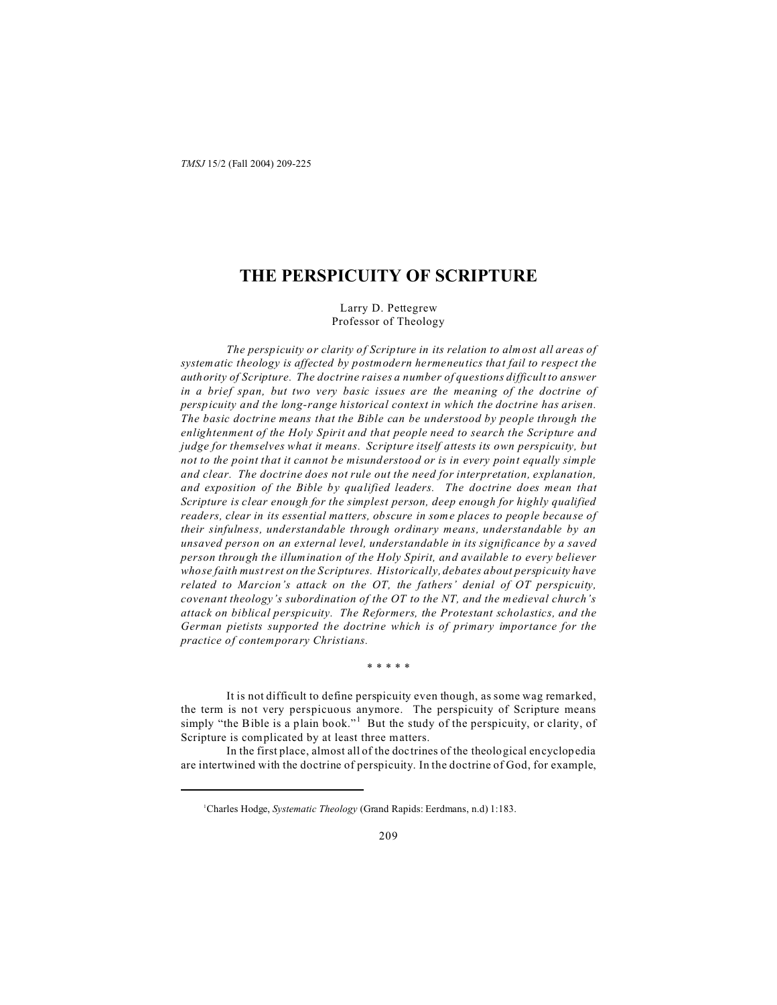# **THE PERSPICUITY OF SCRIPTURE**

Larry D. Pettegrew Professor of Theology

*The perspicuity or clarity of Scripture in its relation to almost all areas of systematic theology is affected by postmodern hermeneutics that fail to respect the authority of Scripture. The doctrine raises a number of questions difficult to answer in a brief span, but two very basic issues are the meaning of the doctrine of perspicuity and the long-range historical context in which the doctrine has arisen. The basic doctrine means that the Bible can be understood by people through the enlightenment of the Holy Spirit and that people need to search the Scripture and judge for themselves what it means. Scripture itself attests its own perspicuity, but not to the point that it cannot be misunderstood or is in every point equally simple and clear. The doctrine does not rule out the need for interpretation, explanation, and exposition of the Bible by qualified leaders. The doctrine does mean that Scripture is clear enough for the simplest person, deep enough for highly qualified readers, clear in its essential matters, obscure in some places to people because of their sinfulness, understandable through ordinary means, understandable by an unsaved person on an external level, understandable in its significance by a saved person through the illumination of the Holy Spirit, and available to every believer whose faith must rest on the Scriptures. Historically, debates about perspicuity have related to Marcion's attack on the OT, the fathers' denial of OT perspicuity, covenant theology's subordination of the OT to the NT, and the medieval church's attack on biblical perspicuity. The Reformers, the Protestant scholastics, and the German pietists supported the doctrine which is of primary importance for the practice of contemporary Christians.*

\* \* \* \* \*

It is not difficult to define perspicuity even though, as some wag remarked, the term is not very perspicuous anymore. The perspicuity of Scripture means simply "the Bible is a plain book."<sup>1</sup> But the study of the perspicuity, or clarity, of Scripture is complicated by at least three matters.

In the first place, almost all of the doctrines of the theological encyclopedia are intertwined with the doctrine of perspicuity. In the doctrine of God, for example,

<sup>1</sup>Charles Hodge, *Systematic Theology* (Grand Rapids: Eerdmans, n.d) 1:183.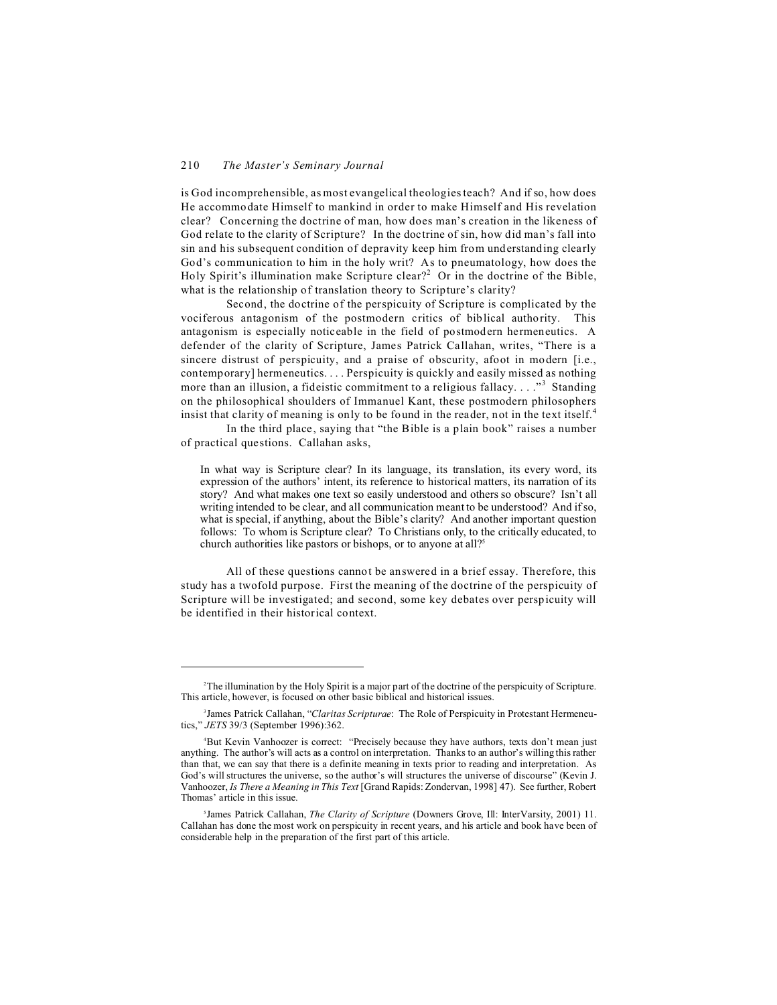#### 210 *The Master's Seminary Journal*

is God incomprehensible, as most evangelical theologies teach? And if so, how does He accommodate Himself to mankind in order to make Himself and His revelation clear? Concerning the doctrine of man, how does man's creation in the likeness of God relate to the clarity of Scripture? In the doctrine of sin, how did man's fall into sin and his subsequent condition of depravity keep him from understanding clearly God's communication to him in the holy writ? As to pneumatology, how does the Holy Spirit's illumination make Scripture clear?<sup>2</sup> Or in the doctrine of the Bible, what is the relationship of translation theory to Scripture's clarity?

Second, the doctrine of the perspicuity of Scripture is complicated by the vociferous antagonism of the postmodern critics of biblical authority. This antagonism is especially noticeable in the field of postmodern hermeneutics. A defender of the clarity of Scripture, James Patrick Callahan, writes, "There is a sincere distrust of perspicuity, and a praise of obscurity, afoot in modern [i.e., contemporary] hermeneutics. . . . Perspicuity is quickly and easily missed as nothing more than an illusion, a fideistic commitment to a religious fallacy...."<sup>3</sup> Standing on the philosophical shoulders of Immanuel Kant, these postmodern philosophers insist that clarity of meaning is only to be found in the reader, not in the text itself.<sup>4</sup>

In the third place, saying that "the Bible is a plain book" raises a number of practical questions. Callahan asks,

In what way is Scripture clear? In its language, its translation, its every word, its expression of the authors' intent, its reference to historical matters, its narration of its story? And what makes one text so easily understood and others so obscure? Isn't all writing intended to be clear, and all communication meant to be understood? And if so, what is special, if anything, about the Bible's clarity? And another important question follows: To whom is Scripture clear? To Christians only, to the critically educated, to church authorities like pastors or bishops, or to anyone at all?<sup>5</sup>

All of these questions cannot be answered in a brief essay. Therefore, this study has a twofold purpose. First the meaning of the doctrine of the perspicuity of Scripture will be investigated; and second, some key debates over perspicuity will be identified in their historical context.

<sup>2</sup>The illumination by the Holy Spirit is a major part of the doctrine of the perspicuity of Scripture. This article, however, is focused on other basic biblical and historical issues.

<sup>3</sup> James Patrick Callahan, "*Claritas Scripturae*: The Role of Perspicuity in Protestant Hermeneutics," *JETS* 39/3 (September 1996):362.

<sup>4</sup>But Kevin Vanhoozer is correct: "Precisely because they have authors, texts don't mean just anything. The author's will acts as a control on interpretation. Thanks to an author's willing this rather than that, we can say that there is a definite meaning in texts prior to reading and interpretation. As God's will structures the universe, so the author's will structures the universe of discourse" (Kevin J. Vanhoozer, *Is There a Meaning in This Text* [Grand Rapids: Zondervan, 1998] 47). See further, Robert Thomas' article in this issue.

<sup>5</sup> James Patrick Callahan, *The Clarity of Scripture* (Downers Grove, Ill: InterVarsity, 2001) 11. Callahan has done the most work on perspicuity in recent years, and his article and book have been of considerable help in the preparation of the first part of this article.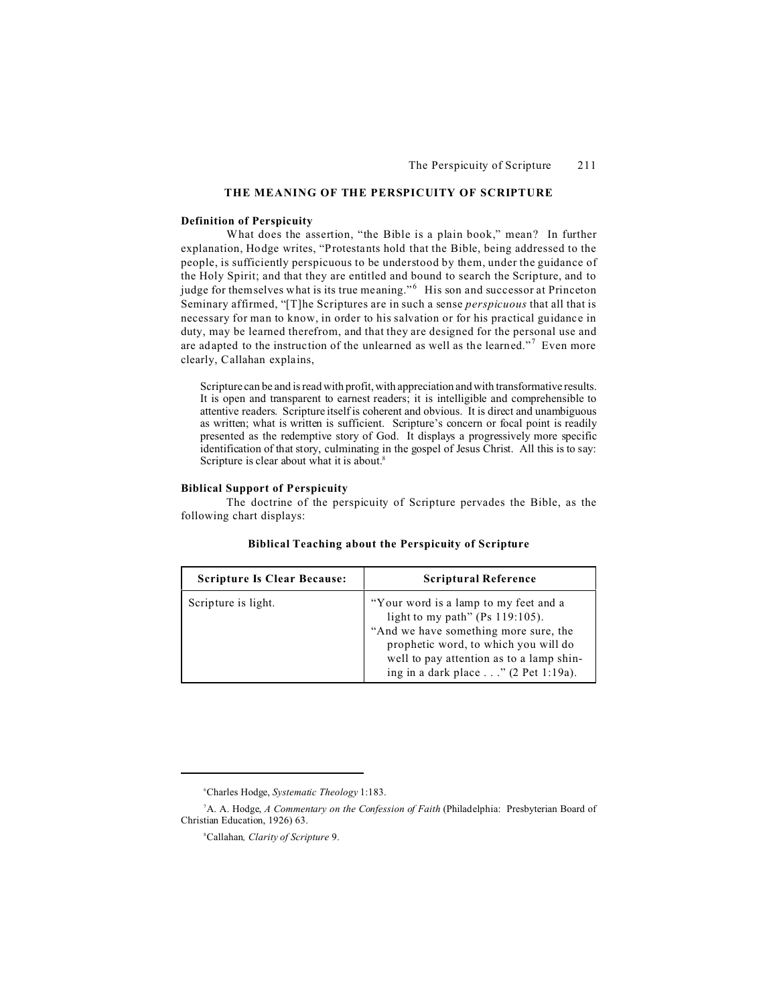# **THE MEANING OF THE PERSPICUITY OF SCRIPTURE**

#### **Definition of Perspicuity**

What does the assertion, "the Bible is a plain book," mean? In further explanation, Hodge writes, "Protestants hold that the Bible, being addressed to the people, is sufficiently perspicuous to be understood by them, under the guidance of the Holy Spirit; and that they are entitled and bound to search the Scripture, and to judge for themselves what is its true meaning."<sup>6</sup> His son and successor at Princeton Seminary affirmed, "[T]he Scriptures are in such a sense *perspicuous* that all that is necessary for man to know, in order to his salvation or for his practical guidance in duty, may be learned therefrom, and that they are designed for the personal use and are adapted to the instruction of the unlearned as well as the learned."<sup>7</sup> Even more clearly, Callahan explains,

Scripture can be and is read with profit, with appreciation and with transformative results. It is open and transparent to earnest readers; it is intelligible and comprehensible to attentive readers. Scripture itself is coherent and obvious. It is direct and unambiguous as written; what is written is sufficient. Scripture's concern or focal point is readily presented as the redemptive story of God. It displays a progressively more specific identification of that story, culminating in the gospel of Jesus Christ. All this is to say: Scripture is clear about what it is about.<sup>8</sup>

### **Biblical Support of Perspicuity**

The doctrine of the perspicuity of Scripture pervades the Bible, as the following chart displays:

| <b>Scripture Is Clear Because:</b> | <b>Scriptural Reference</b>                                                                                                                                                                                                                            |
|------------------------------------|--------------------------------------------------------------------------------------------------------------------------------------------------------------------------------------------------------------------------------------------------------|
| Scripture is light.                | "Your word is a lamp to my feet and a<br>light to my path" (Ps 119:105).<br>"And we have something more sure, the<br>prophetic word, to which you will do<br>well to pay attention as to a lamp shin-<br>ing in a dark place $\ldots$ " (2 Pet 1:19a). |

<sup>6</sup>Charles Hodge, *Systematic Theology* 1:183.

<sup>7</sup>A. A. Hodge, *A Commentary on the Confession of Faith* (Philadelphia: Presbyterian Board of Christian Education, 1926) 63.

<sup>8</sup>Callahan*, Clarity of Scripture* 9.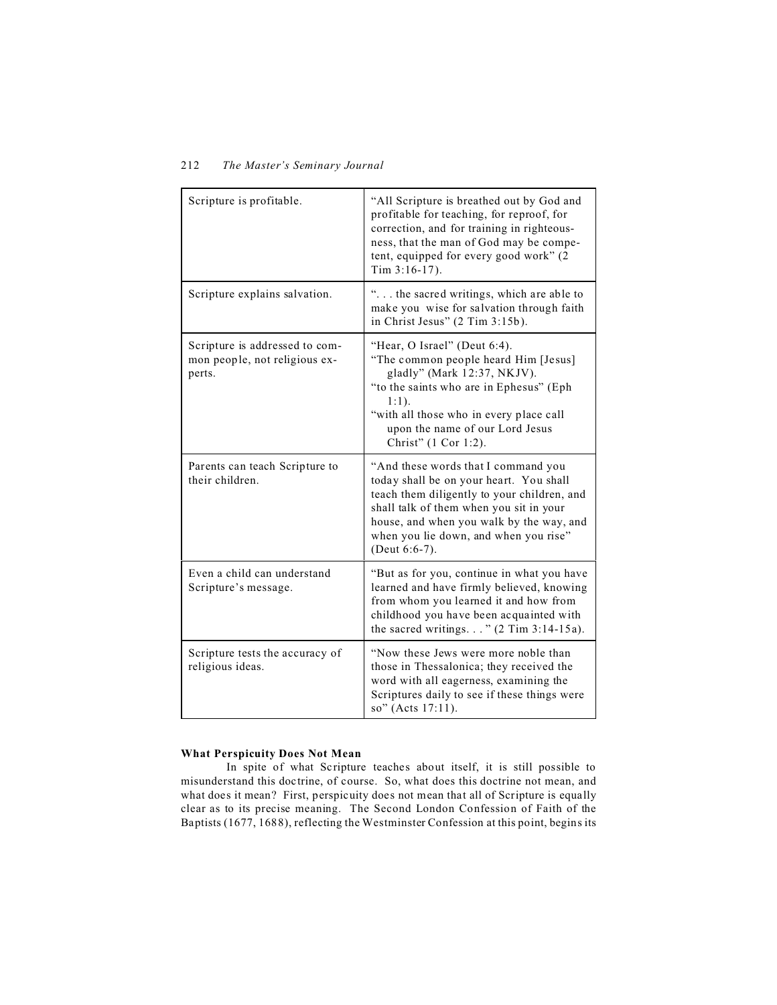| Scripture is profitable.                                                  | "All Scripture is breathed out by God and<br>profitable for teaching, for reproof, for<br>correction, and for training in righteous-<br>ness, that the man of God may be compe-<br>tent, equipped for every good work" (2<br>Tim 3:16-17).                                     |
|---------------------------------------------------------------------------|--------------------------------------------------------------------------------------------------------------------------------------------------------------------------------------------------------------------------------------------------------------------------------|
| Scripture explains salvation.                                             | " the sacred writings, which are able to<br>make you wise for salvation through faith<br>in Christ Jesus" (2 Tim 3:15b).                                                                                                                                                       |
| Scripture is addressed to com-<br>mon people, not religious ex-<br>perts. | "Hear, O Israel" (Deut 6:4).<br>"The common people heard Him [Jesus]<br>gladly" (Mark 12:37, NKJV).<br>"to the saints who are in Ephesus" (Eph<br>$1:1$ ).<br>"with all those who in every place call<br>upon the name of our Lord Jesus<br>Christ" (1 Cor 1:2).               |
| Parents can teach Scripture to<br>their children.                         | "And these words that I command you<br>today shall be on your heart. You shall<br>teach them diligently to your children, and<br>shall talk of them when you sit in your<br>house, and when you walk by the way, and<br>when you lie down, and when you rise"<br>(Deut 6:6-7). |
| Even a child can understand<br>Scripture's message.                       | "But as for you, continue in what you have<br>learned and have firmly believed, knowing<br>from whom you learned it and how from<br>childhood you have been acquainted with<br>the sacred writings" $(2$ Tim 3:14-15a).                                                        |
| Scripture tests the accuracy of<br>religious ideas.                       | "Now these Jews were more noble than<br>those in Thessalonica; they received the<br>word with all eagerness, examining the<br>Scriptures daily to see if these things were<br>so" (Acts 17:11).                                                                                |

# **What Perspicuity Does Not Mean**

In spite of what Scripture teaches about itself, it is still possible to misunderstand this doctrine, of course. So, what does this doctrine not mean, and what does it mean? First, perspicuity does not mean that all of Scripture is equally clear as to its precise meaning. The Second London Confession of Faith of the Baptists (1677, 1688), reflecting the Westminster Confession at this point, begins its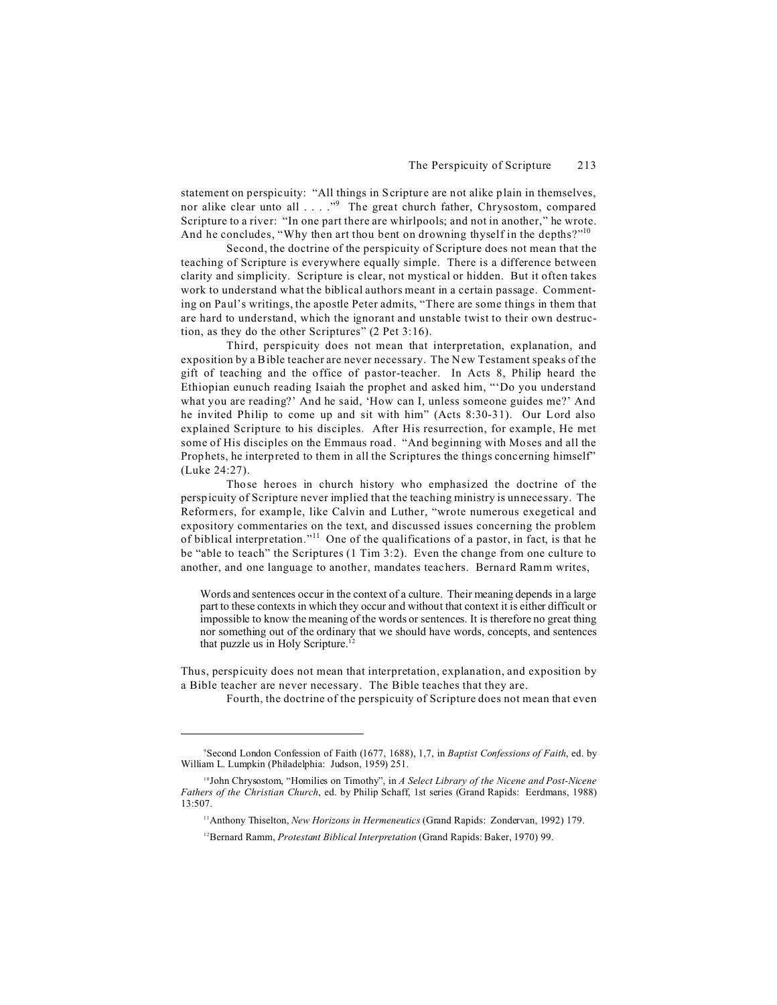statement on perspicuity: "All things in Scripture are not alike plain in themselves, nor alike clear unto all . . . ."<sup>9</sup> The great church father, Chrysostom, compared Scripture to a river: "In one part there are whirlpools; and not in another," he wrote. And he concludes, "Why then art thou bent on drowning thyself in the depths?"<sup>10</sup>

Second, the doctrine of the perspicuity of Scripture does not mean that the teaching of Scripture is everywhere equally simple. There is a difference between clarity and simplicity. Scripture is clear, not mystical or hidden. But it often takes work to understand what the biblical authors meant in a certain passage. Commenting on Paul's writings, the apostle Peter admits, "There are some things in them that are hard to understand, which the ignorant and unstable twist to their own destruction, as they do the other Scriptures" (2 Pet 3:16).

Third, perspicuity does not mean that interpretation, explanation, and exposition by a Bible teacher are never necessary. The New Testament speaks of the gift of teaching and the office of pastor-teacher. In Acts 8, Philip heard the Ethiopian eunuch reading Isaiah the prophet and asked him, "'Do you understand what you are reading?' And he said, 'How can I, unless someone guides me?' And he invited Philip to come up and sit with him" (Acts 8:30-31). Our Lord also explained Scripture to his disciples. After His resurrection, for example, He met some of His disciples on the Emmaus road. "And beginning with Moses and all the Prophets, he interpreted to them in all the Scriptures the things concerning himself" (Luke 24:27).

Those heroes in church history who emphasized the doctrine of the perspicuity of Scripture never implied that the teaching ministry is unnecessary. The Reformers, for example, like Calvin and Luther, "wrote numerous exegetical and expository commentaries on the text, and discussed issues concerning the problem of biblical interpretation."<sup>11</sup> One of the qualifications of a pastor, in fact, is that he be "able to teach" the Scriptures (1 Tim 3:2). Even the change from one culture to another, and one language to another, mandates teachers. Bernard Ramm writes,

Words and sentences occur in the context of a culture. Their meaning depends in a large part to these contexts in which they occur and without that context it is either difficult or impossible to know the meaning of the words or sentences. It is therefore no great thing nor something out of the ordinary that we should have words, concepts, and sentences that puzzle us in Holy Scripture.<sup>12</sup>

Thus, perspicuity does not mean that interpretation, explanation, and exposition by a Bible teacher are never necessary. The Bible teaches that they are.

Fourth, the doctrine of the perspicuity of Scripture does not mean that even

<sup>9</sup>Second London Confession of Faith (1677, 1688), 1,7, in *Baptist Confessions of Faith*, ed. by William L. Lumpkin (Philadelphia: Judson, 1959) 251.

<sup>10</sup>John Chrysostom, "Homilies on Timothy", in *A Select Library of the Nicene and Post-Nicene Fathers of the Christian Church*, ed. by Philip Schaff, 1st series (Grand Rapids: Eerdmans, 1988) 13:507.

<sup>11</sup>Anthony Thiselton, *New Horizons in Hermeneutics* (Grand Rapids: Zondervan, 1992) 179.

<sup>12</sup>Bernard Ramm, *Protestant Biblical Interpretation* (Grand Rapids: Baker, 1970) 99.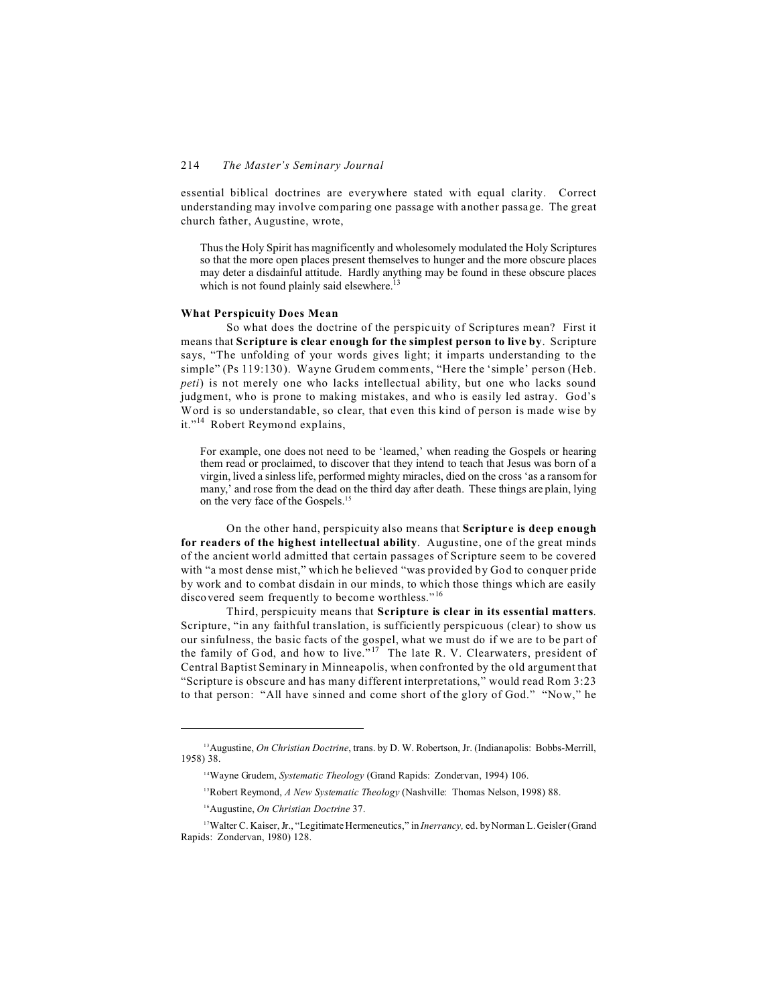essential biblical doctrines are everywhere stated with equal clarity. Correct understanding may involve comparing one passage with another passage. The great church father, Augustine, wrote,

Thus the Holy Spirit has magnificently and wholesomely modulated the Holy Scriptures so that the more open places present themselves to hunger and the more obscure places may deter a disdainful attitude. Hardly anything may be found in these obscure places which is not found plainly said elsewhere.<sup>13</sup>

## **What Perspicuity Does Mean**

So what does the doctrine of the perspicuity of Scriptures mean? First it means that **Scripture is clear enough for the simplest person to live by**. Scripture says, "The unfolding of your words gives light; it imparts understanding to the simple" (Ps 119:130). Wayne Grudem comments, "Here the 'simple' person (Heb. *peti*) is not merely one who lacks intellectual ability, but one who lacks sound judgment, who is prone to making mistakes, and who is easily led astray. God's Word is so understandable, so clear, that even this kind of person is made wise by it."<sup>14</sup> Robert Reymond explains,

For example, one does not need to be 'learned,' when reading the Gospels or hearing them read or proclaimed, to discover that they intend to teach that Jesus was born of a virgin, lived a sinless life, performed mighty miracles, died on the cross 'as a ransom for many,' and rose from the dead on the third day after death. These things are plain, lying on the very face of the Gospels.<sup>15</sup>

On the other hand, perspicuity also means that **Scripture is deep enough for readers of the highest intellectual ability**. Augustine, one of the great minds of the ancient world admitted that certain passages of Scripture seem to be covered with "a most dense mist," which he believed "was provided by God to conquer pride by work and to combat disdain in our minds, to which those things which are easily discovered seem frequently to become worthless."<sup>16</sup>

Third, perspicuity means that **Scripture is clear in its essential matters**. Scripture, "in any faithful translation, is sufficiently perspicuous (clear) to show us our sinfulness, the basic facts of the gospel, what we must do if we are to be part of the family of God, and how to live. $17$ <sup>17</sup> The late R. V. Clearwaters, president of Central Baptist Seminary in Minneapolis, when confronted by the old argument that "Scripture is obscure and has many different interpretations," would read Rom 3:23 to that person: "All have sinned and come short of the glory of God." "Now," he

<sup>&</sup>lt;sup>13</sup>Augustine, *On Christian Doctrine*, trans. by D. W. Robertson, Jr. (Indianapolis: Bobbs-Merrill, 1958) 38.

<sup>14</sup>Wayne Grudem, *Systematic Theology* (Grand Rapids: Zondervan, 1994) 106.

<sup>15</sup>Robert Reymond, *A New Systematic Theology* (Nashville: Thomas Nelson, 1998) 88.

<sup>16</sup>Augustine, *On Christian Doctrine* 37.

<sup>&</sup>lt;sup>17</sup>Walter C. Kaiser, Jr., "Legitimate Hermeneutics," in *Inerrancy*, ed. by Norman L. Geisler (Grand Rapids: Zondervan, 1980) 128.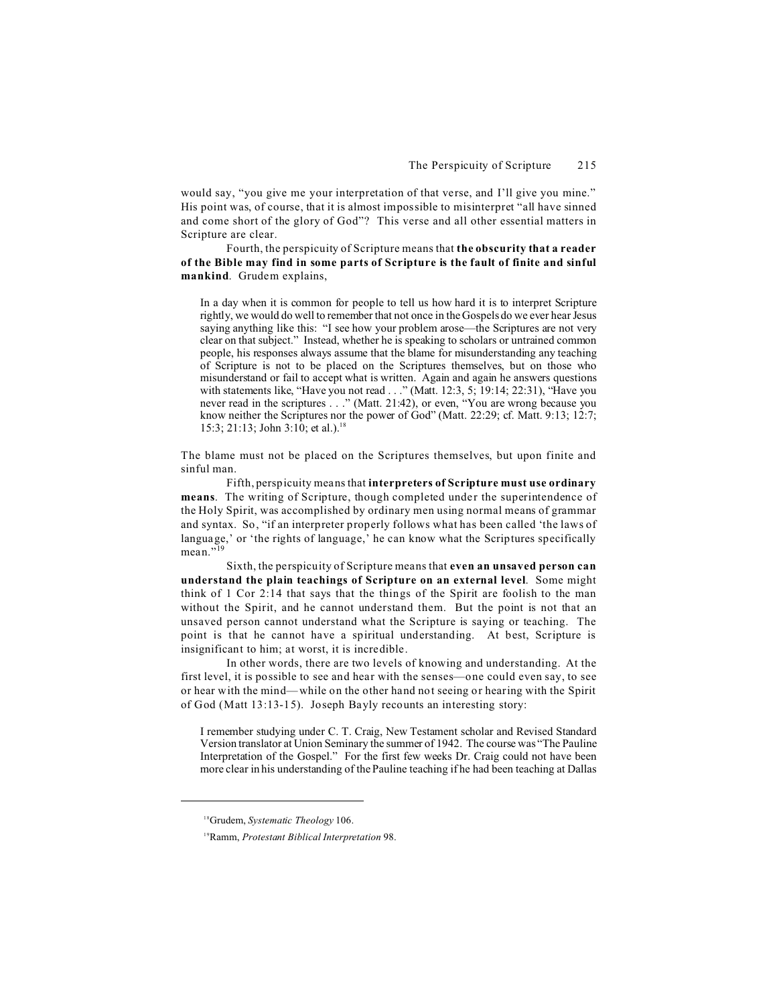would say, "you give me your interpretation of that verse, and I'll give you mine." His point was, of course, that it is almost impossible to misinterpret "all have sinned and come short of the glory of God"? This verse and all other essential matters in Scripture are clear.

Fourth, the perspicuity of Scripture means that **the obscurity that a reader of the Bible may find in some parts of Scripture is the fault of finite and sinful mankind**. Grudem explains,

In a day when it is common for people to tell us how hard it is to interpret Scripture rightly, we would do well to remember that not once in the Gospels do we ever hear Jesus saying anything like this: "I see how your problem arose—the Scriptures are not very clear on that subject." Instead, whether he is speaking to scholars or untrained common people, his responses always assume that the blame for misunderstanding any teaching of Scripture is not to be placed on the Scriptures themselves, but on those who misunderstand or fail to accept what is written. Again and again he answers questions with statements like, "Have you not read . . ." (Matt. 12:3, 5; 19:14; 22:31), "Have you never read in the scriptures . . ." (Matt. 21:42), or even, "You are wrong because you know neither the Scriptures nor the power of God" (Matt. 22:29; cf. Matt. 9:13; 12:7; 15:3; 21:13; John 3:10; et al.).<sup>18</sup>

The blame must not be placed on the Scriptures themselves, but upon finite and sinful man.

Fifth, perspicuity means that **interpreters of Scripture must use ordinary means**. The writing of Scripture, though completed under the superintendence of the Holy Spirit, was accomplished by ordinary men using normal means of grammar and syntax. So, "if an interpreter properly follows what has been called 'the laws of language,' or 'the rights of language,' he can know what the Scriptures specifically mean $^{19}$ 

Sixth, the perspicuity of Scripture means that **even an unsaved person can understand the plain teachings of Scripture on an external level**. Some might think of 1 Cor 2:14 that says that the things of the Spirit are foolish to the man without the Spirit, and he cannot understand them. But the point is not that an unsaved person cannot understand what the Scripture is saying or teaching. The point is that he cannot have a spiritual understanding. At best, Scripture is insignificant to him; at worst, it is incredible.

In other words, there are two levels of knowing and understanding. At the first level, it is possible to see and hear with the senses—one could even say, to see or hear with the mind—while on the other hand not seeing or hearing with the Spirit of God (Matt 13:13-15). Joseph Bayly recounts an interesting story:

I remember studying under C. T. Craig, New Testament scholar and Revised Standard Version translator at Union Seminary the summer of 1942. The course was "The Pauline Interpretation of the Gospel." For the first few weeks Dr. Craig could not have been more clear in his understanding of the Pauline teaching if he had been teaching at Dallas

<sup>18</sup>Grudem, *Systematic Theology* 106.

<sup>19</sup>Ramm, *Protestant Biblical Interpretation* 98.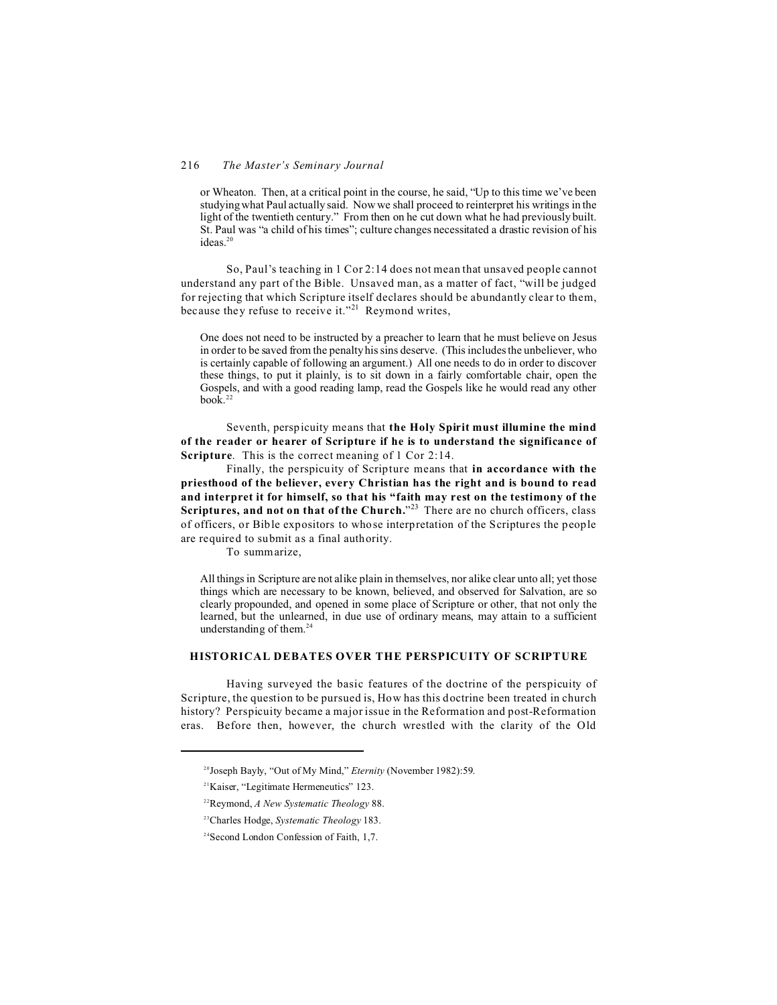# 216 *The Master's Seminary Journal*

or Wheaton. Then, at a critical point in the course, he said, "Up to this time we've been studying what Paul actually said. Now we shall proceed to reinterpret his writings in the light of the twentieth century." From then on he cut down what he had previously built. St. Paul was "a child of his times"; culture changes necessitated a drastic revision of his ideas.<sup>20</sup>

So, Paul's teaching in 1 Cor 2:14 does not mean that unsaved people cannot understand any part of the Bible. Unsaved man, as a matter of fact, "will be judged for rejecting that which Scripture itself declares should be abundantly clear to them, because they refuse to receive it."<sup>21</sup> Reymond writes,

One does not need to be instructed by a preacher to learn that he must believe on Jesus in order to be saved from the penalty his sins deserve. (This includes the unbeliever, who is certainly capable of following an argument.) All one needs to do in order to discover these things, to put it plainly, is to sit down in a fairly comfortable chair, open the Gospels, and with a good reading lamp, read the Gospels like he would read any other  $h \circ \hat{k}$ <sup>22</sup>

Seventh, perspicuity means that **the Holy Spirit must illumine the mind of the reader or hearer of Scripture if he is to understand the significance of Scripture.** This is the correct meaning of 1 Cor 2:14.

Finally, the perspicuity of Scripture means that **in accordance with the priesthood of the believer, every Christian has the right and is bound to read and interpret it for himself, so that his "faith may rest on the testimony of the Scriptures, and not on that of the Church.**" <sup>23</sup> There are no church officers, class of officers, or Bible expositors to whose interpretation of the Scriptures the people are required to submit as a final authority.

To summarize,

All things in Scripture are not alike plain in themselves, nor alike clear unto all; yet those things which are necessary to be known, believed, and observed for Salvation, are so clearly propounded, and opened in some place of Scripture or other, that not only the learned, but the unlearned, in due use of ordinary means, may attain to a sufficient understanding of them.<sup>24</sup>

## **HISTORICAL DEBATES OVER THE PERSPICUITY OF SCRIPTURE**

Having surveyed the basic features of the doctrine of the perspicuity of Scripture, the question to be pursued is, How has this doctrine been treated in church history? Perspicuity became a major issue in the Reformation and post-Reformation eras. Before then, however, the church wrestled with the clarity of the Old

<sup>20</sup>Joseph Bayly, "Out of My Mind," *Eternity* (November 1982):59.

<sup>21</sup>Kaiser, "Legitimate Hermeneutics" 123.

<sup>22</sup>Reymond, *A New Systematic Theology* 88.

<sup>23</sup>Charles Hodge, *Systematic Theology* 183.

<sup>24</sup>Second London Confession of Faith, 1,7.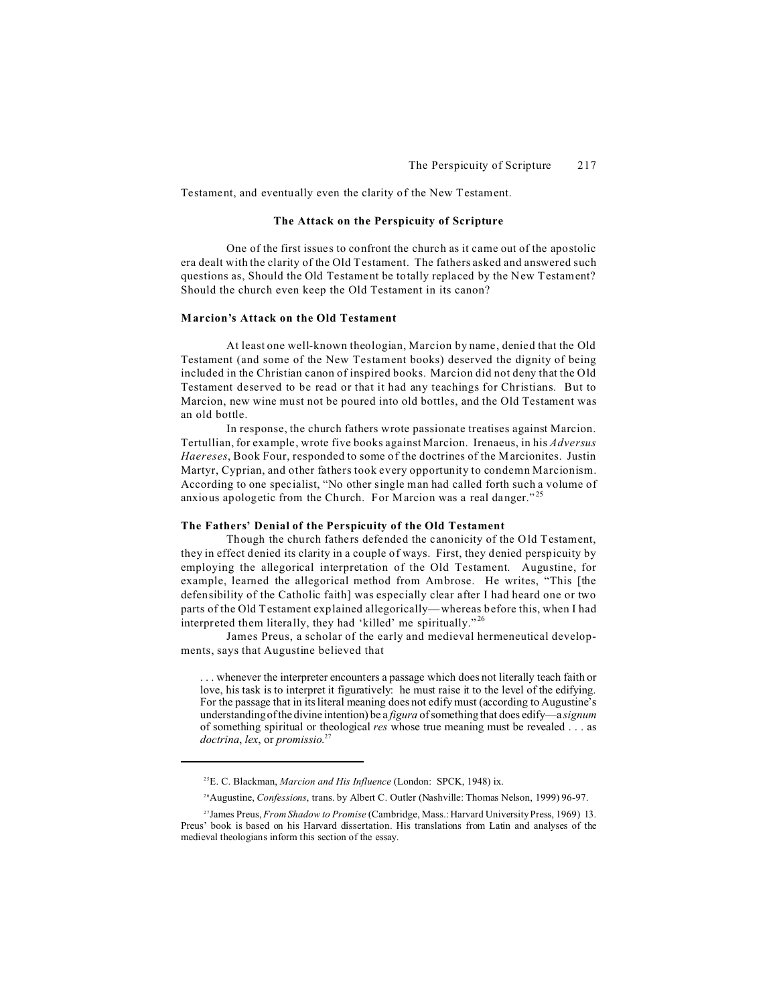Testament, and eventually even the clarity of the New Testament.

### **The Attack on the Perspicuity of Scripture**

One of the first issues to confront the church as it came out of the apostolic era dealt with the clarity of the Old Testament. The fathers asked and answered such questions as, Should the Old Testament be totally replaced by the New Testament? Should the church even keep the Old Testament in its canon?

# **Marcion's Attack on the Old Testament**

At least one well-known theologian, Marcion by name, denied that the Old Testament (and some of the New Testament books) deserved the dignity of being included in the Christian canon of inspired books. Marcion did not deny that the Old Testament deserved to be read or that it had any teachings for Christians. But to Marcion, new wine must not be poured into old bottles, and the Old Testament was an old bottle.

In response, the church fathers wrote passionate treatises against Marcion. Tertullian, for example, wrote five books against Marcion. Irenaeus, in his *Adversus Haereses*, Book Four, responded to some of the doctrines of the Marcionites. Justin Martyr, Cyprian, and other fathers took every opportunity to condemn Marcionism. According to one specialist, "No other single man had called forth such a volume of anxious apologetic from the Church. For Marcion was a real danger."<sup>25</sup>

## **The Fathers' Denial of the Perspicuity of the Old Testament**

Though the church fathers defended the canonicity of the Old Testament, they in effect denied its clarity in a couple of ways. First, they denied perspicuity by employing the allegorical interpretation of the Old Testament. Augustine, for example, learned the allegorical method from Ambrose. He writes, "This [the defensibility of the Catholic faith] was especially clear after I had heard one or two parts of the Old Testament explained allegorically—whereas before this, when I had interpreted them literally, they had 'killed' me spiritually."<sup>26</sup>

James Preus, a scholar of the early and medieval hermeneutical developments, says that Augustine believed that

. . . whenever the interpreter encounters a passage which does not literally teach faith or love, his task is to interpret it figuratively: he must raise it to the level of the edifying. For the passage that in its literal meaning does not edify must (according to Augustine's understanding of the divine intention) be a *figura* of something that does edify—a *signum* of something spiritual or theological *res* whose true meaning must be revealed . . . as *doctrina*, *lex*, or *promissio*. 27

<sup>25</sup>E. C. Blackman, *Marcion and His Influence* (London: SPCK, 1948) ix.

<sup>26</sup>Augustine, *Confessions*, trans. by Albert C. Outler (Nashville: Thomas Nelson, 1999) 96-97.

<sup>27</sup>James Preus, *From Shadow to Promise* (Cambridge, Mass.: Harvard University Press, 1969) 13. Preus' book is based on his Harvard dissertation. His translations from Latin and analyses of the medieval theologians inform this section of the essay.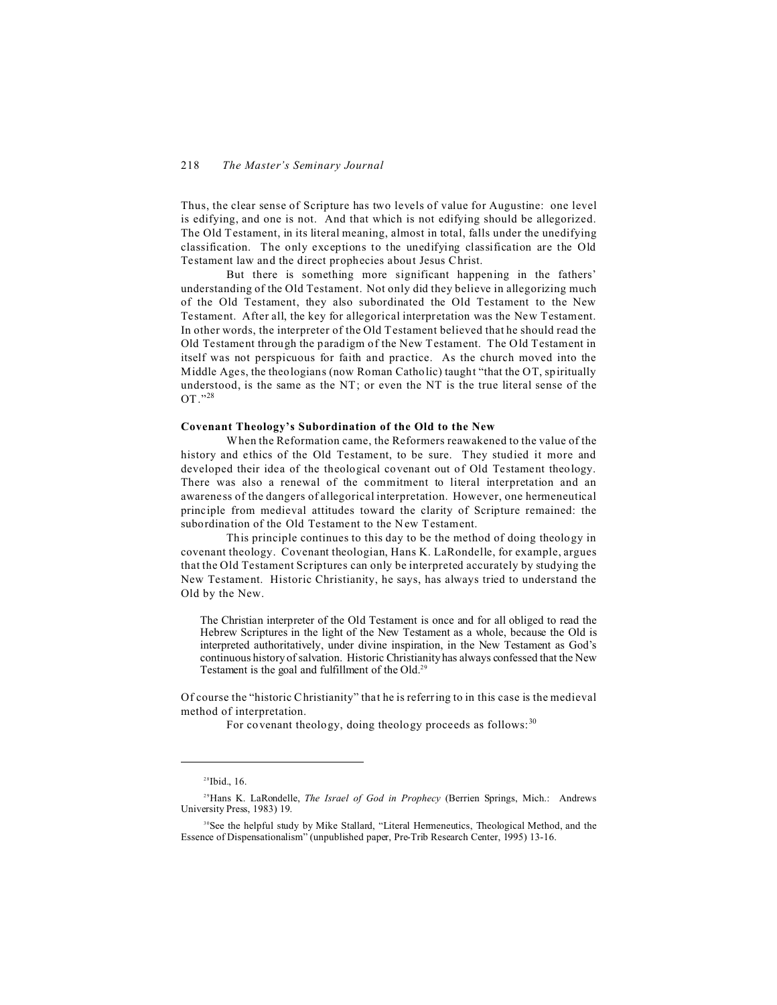Thus, the clear sense of Scripture has two levels of value for Augustine: one level is edifying, and one is not. And that which is not edifying should be allegorized. The Old Testament, in its literal meaning, almost in total, falls under the unedifying classification. The only exceptions to the unedifying classification are the Old Testament law and the direct prophecies about Jesus Christ.

But there is something more significant happening in the fathers' understanding of the Old Testament. Not only did they believe in allegorizing much of the Old Testament, they also subordinated the Old Testament to the New Testament. After all, the key for allegorical interpretation was the New Testament. In other words, the interpreter of the Old Testament believed that he should read the Old Testament through the paradigm of the New Testament. The Old Testament in itself was not perspicuous for faith and practice. As the church moved into the Middle Ages, the theologians (now Roman Catholic) taught "that the OT, spiritually understood, is the same as the NT; or even the NT is the true literal sense of the OT."<sup>28</sup>

## **Covenant Theology's Subordination of the Old to the New**

When the Reformation came, the Reformers reawakened to the value of the history and ethics of the Old Testament, to be sure. They studied it more and developed their idea of the theological covenant out of Old Testament theology. There was also a renewal of the commitment to literal interpretation and an awareness of the dangers of allegorical interpretation. However, one hermeneutical principle from medieval attitudes toward the clarity of Scripture remained: the subordination of the Old Testament to the New Testament.

This principle continues to this day to be the method of doing theology in covenant theology. Covenant theologian, Hans K. LaRondelle, for example, argues that the Old Testament Scriptures can only be interpreted accurately by studying the New Testament. Historic Christianity, he says, has always tried to understand the Old by the New.

The Christian interpreter of the Old Testament is once and for all obliged to read the Hebrew Scriptures in the light of the New Testament as a whole, because the Old is interpreted authoritatively, under divine inspiration, in the New Testament as God's continuous history of salvation. Historic Christianity has always confessed that the New Testament is the goal and fulfillment of the Old.<sup>29</sup>

Of course the "historic Christianity" that he is referring to in this case is the medieval method of interpretation.

For covenant theology, doing theology proceeds as follows:<sup>30</sup>

<sup>28</sup>Ibid., 16.

<sup>&</sup>lt;sup>29</sup>Hans K. LaRondelle, *The Israel of God in Prophecy* (Berrien Springs, Mich.: Andrews University Press, 1983) 19.

<sup>&</sup>lt;sup>30</sup>See the helpful study by Mike Stallard, "Literal Hermeneutics, Theological Method, and the Essence of Dispensationalism" (unpublished paper, Pre-Trib Research Center, 1995) 13-16.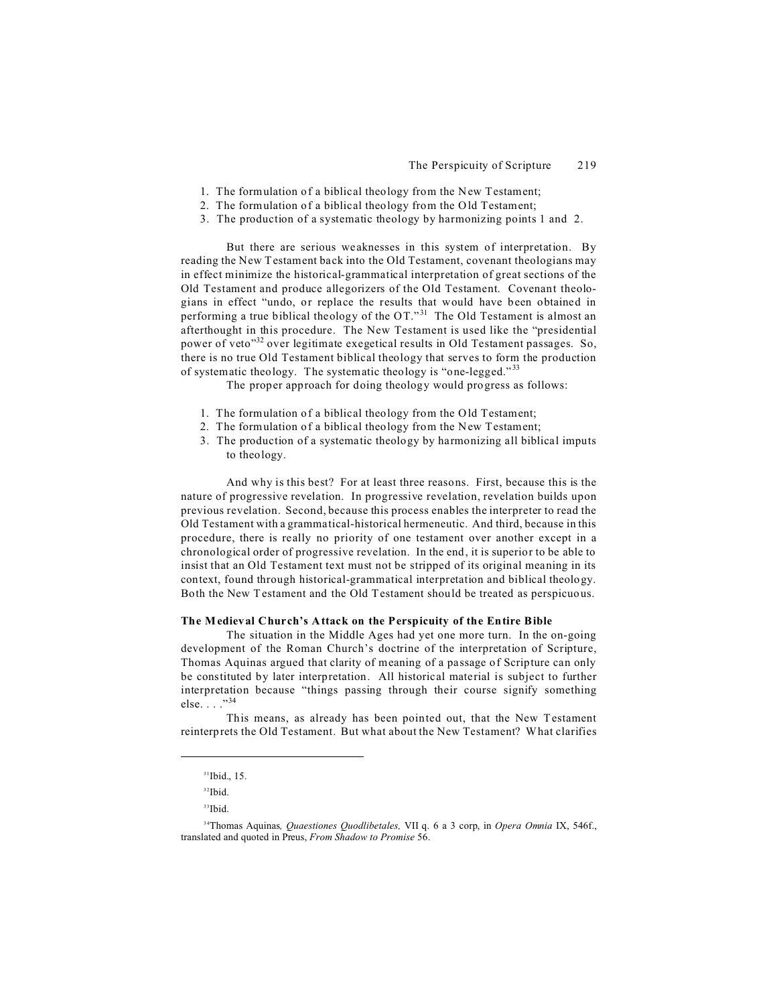- 1. The formulation of a biblical theology from the New Testament;
- 2. The formulation of a biblical theology from the Old Testament;
- 3. The production of a systematic theology by harmonizing points 1 and 2.

But there are serious weaknesses in this system of interpretation. By reading the New Testament back into the Old Testament, covenant theologians may in effect minimize the historical-grammatical interpretation of great sections of the Old Testament and produce allegorizers of the Old Testament. Covenant theologians in effect "undo, or replace the results that would have been obtained in performing a true biblical theology of the OT."<sup>31</sup> The Old Testament is almost an afterthought in this procedure. The New Testament is used like the "presidential power of veto"<sup>32</sup> over legitimate exegetical results in Old Testament passages. So, there is no true Old Testament biblical theology that serves to form the production of systematic theology. The systematic theology is "one-legged."<sup>33</sup>

The proper approach for doing theology would progress as follows:

- 1. The formulation of a biblical theology from the Old Testament;
- 2. The formulation of a biblical theology from the New Testament;
- 3. The production of a systematic theology by harmonizing all biblical imputs to theology.

And why is this best? For at least three reasons. First, because this is the nature of progressive revelation. In progressive revelation, revelation builds upon previous revelation. Second, because this process enables the interpreter to read the Old Testament with a grammatical-historical hermeneutic. And third, because in this procedure, there is really no priority of one testament over another except in a chronological order of progressive revelation. In the end, it is superior to be able to insist that an Old Testament text must not be stripped of its original meaning in its context, found through historical-grammatical interpretation and biblical theology. Both the New Testament and the Old Testament should be treated as perspicuous.

#### **The Medieval Church's Attack on the Perspicuity of the Entire Bible**

The situation in the Middle Ages had yet one more turn. In the on-going development of the Roman Church's doctrine of the interpretation of Scripture, Thomas Aquinas argued that clarity of meaning of a passage of Scripture can only be constituted by later interpretation. All historical material is subject to further interpretation because "things passing through their course signify something else. . . ."<sup>34</sup>

This means, as already has been pointed out, that the New Testament reinterprets the Old Testament. But what about the New Testament? What clarifies

<sup>33</sup>Ibid.

<sup>&</sup>lt;sup>31</sup>Ibid., 15.

<sup>32</sup>Ibid.

<sup>34</sup>Thomas Aquinas*, Quaestiones Quodlibetales,* VII q. 6 a 3 corp, in *Opera Omnia* IX, 546f., translated and quoted in Preus, *From Shadow to Promise* 56.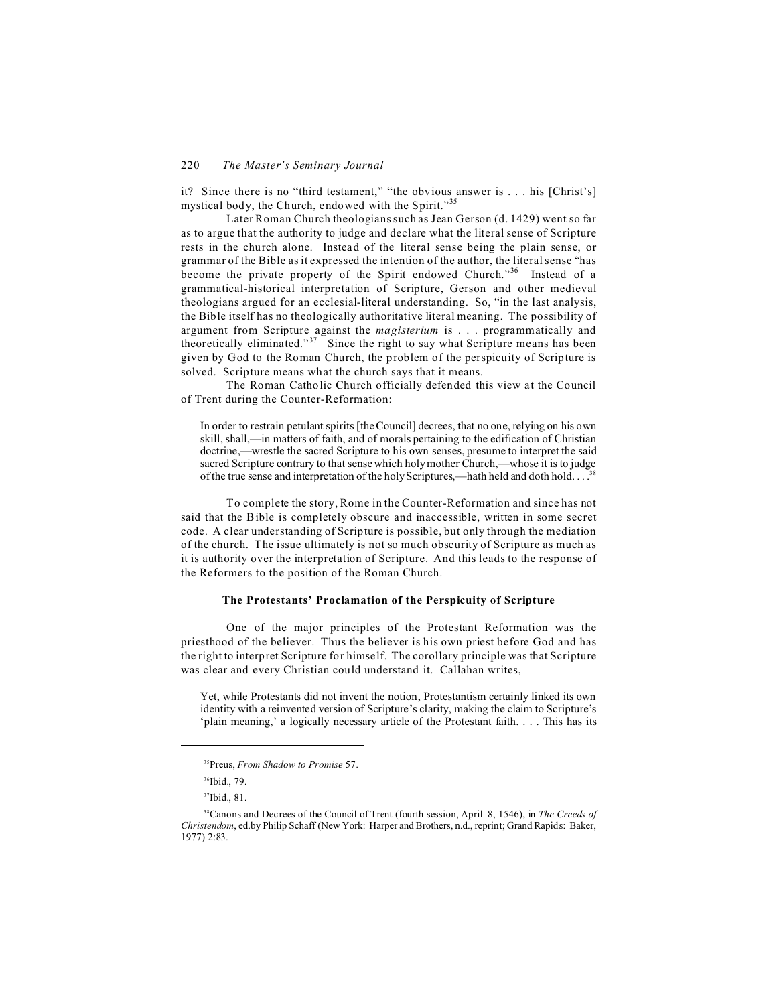it? Since there is no "third testament," "the obvious answer is . . . his [Christ's] mystical body, the Church, endowed with the Spirit."<sup>35</sup>

Later Roman Church theologians such as Jean Gerson (d. 1429) went so far as to argue that the authority to judge and declare what the literal sense of Scripture rests in the church alone. Instead of the literal sense being the plain sense, or grammar of the Bible as it expressed the intention of the author, the literal sense "has become the private property of the Spirit endowed Church."<sup>36</sup> Instead of a grammatical-historical interpretation of Scripture, Gerson and other medieval theologians argued for an ecclesial-literal understanding. So, "in the last analysis, the Bible itself has no theologically authoritative literal meaning. The possibility of argument from Scripture against the *magisterium* is . . . programmatically and theoretically eliminated."<sup> $37$ </sup> Since the right to say what Scripture means has been given by God to the Roman Church, the problem of the perspicuity of Scripture is solved. Scripture means what the church says that it means.

The Roman Catholic Church officially defended this view at the Council of Trent during the Counter-Reformation:

In order to restrain petulant spirits [the Council] decrees, that no one, relying on his own skill, shall,—in matters of faith, and of morals pertaining to the edification of Christian doctrine,—wrestle the sacred Scripture to his own senses, presume to interpret the said sacred Scripture contrary to that sense which holy mother Church,—whose it is to judge of the true sense and interpretation of the holy Scriptures,—hath held and doth hold. . . .<sup>38</sup>

To complete the story, Rome in the Counter-Reformation and since has not said that the Bible is completely obscure and inaccessible, written in some secret code. A clear understanding of Scripture is possible, but only through the mediation of the church. The issue ultimately is not so much obscurity of Scripture as much as it is authority over the interpretation of Scripture. And this leads to the response of the Reformers to the position of the Roman Church.

# **The Protestants' Proclamation of the Perspicuity of Scripture**

One of the major principles of the Protestant Reformation was the priesthood of the believer. Thus the believer is his own priest before God and has the right to interpret Scripture for himself. The corollary principle was that Scripture was clear and every Christian could understand it. Callahan writes,

Yet, while Protestants did not invent the notion, Protestantism certainly linked its own identity with a reinvented version of Scripture's clarity, making the claim to Scripture's 'plain meaning,' a logically necessary article of the Protestant faith. . . . This has its

<sup>35</sup>Preus, *From Shadow to Promise* 57.

<sup>36</sup>Ibid., 79.

<sup>&</sup>lt;sup>37</sup>Ibid., 81.

<sup>38</sup>Canons and Decrees of the Council of Trent (fourth session, April 8, 1546), in *The Creeds of Christendom*, ed.by Philip Schaff (New York: Harper and Brothers, n.d., reprint; Grand Rapids: Baker, 1977) 2:83.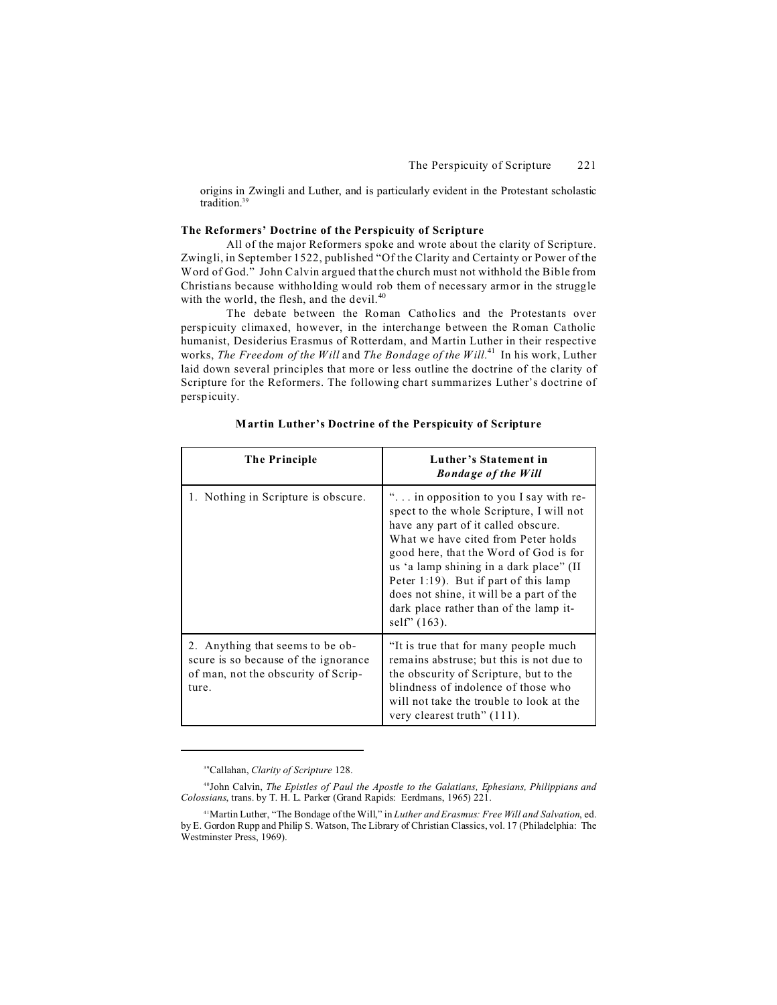origins in Zwingli and Luther, and is particularly evident in the Protestant scholastic tradition $39$ 

### **The Reformers' Doctrine of the Perspicuity of Scripture**

All of the major Reformers spoke and wrote about the clarity of Scripture. Zwingli, in September 1522, published "Of the Clarity and Certainty or Power of the Word of God." John Calvin argued that the church must not withhold the Bible from Christians because withholding would rob them of necessary armor in the struggle with the world, the flesh, and the devil.<sup>40</sup>

The debate between the Roman Catholics and the Protestants over perspicuity climaxed, however, in the interchange between the Roman Catholic humanist, Desiderius Erasmus of Rotterdam, and Martin Luther in their respective works, *The Freedom of the Will* and *The Bondage of the Will*. <sup>41</sup> In his work, Luther laid down several principles that more or less outline the doctrine of the clarity of Scripture for the Reformers. The following chart summarizes Luther's doctrine of perspicuity.

| The Principle                                                                                                            | Luther's Statement in<br><b>Bondage of the Will</b>                                                                                                                                                                                                                                                                                                                                                       |  |
|--------------------------------------------------------------------------------------------------------------------------|-----------------------------------------------------------------------------------------------------------------------------------------------------------------------------------------------------------------------------------------------------------------------------------------------------------------------------------------------------------------------------------------------------------|--|
| 1. Nothing in Scripture is obscure.                                                                                      | " in opposition to you I say with re-<br>spect to the whole Scripture, I will not<br>have any part of it called obscure.<br>What we have cited from Peter holds<br>good here, that the Word of God is for<br>us 'a lamp shining in a dark place" (II<br>Peter $1:19$ ). But if part of this lamp<br>does not shine, it will be a part of the<br>dark place rather than of the lamp it-<br>self" $(163)$ . |  |
| 2. Anything that seems to be ob-<br>scure is so because of the ignorance<br>of man, not the obscurity of Scrip-<br>ture. | "It is true that for many people much"<br>remains abstruse; but this is not due to<br>the obscurity of Scripture, but to the<br>blindness of indolence of those who<br>will not take the trouble to look at the<br>very clearest truth" (111).                                                                                                                                                            |  |

<sup>39</sup>Callahan, *Clarity of Scripture* 128.

<sup>40</sup>John Calvin, *The Epistles of Paul the Apostle to the Galatians, Ephesians, Philippians and Colossians*, trans. by T. H. L. Parker (Grand Rapids: Eerdmans, 1965) 221.

<sup>41</sup>Martin Luther, "The Bondage of the Will," in *Luther and Erasmus: Free Will and Salvation*, ed. by E. Gordon Rupp and Philip S. Watson, The Library of Christian Classics, vol. 17 (Philadelphia: The Westminster Press, 1969).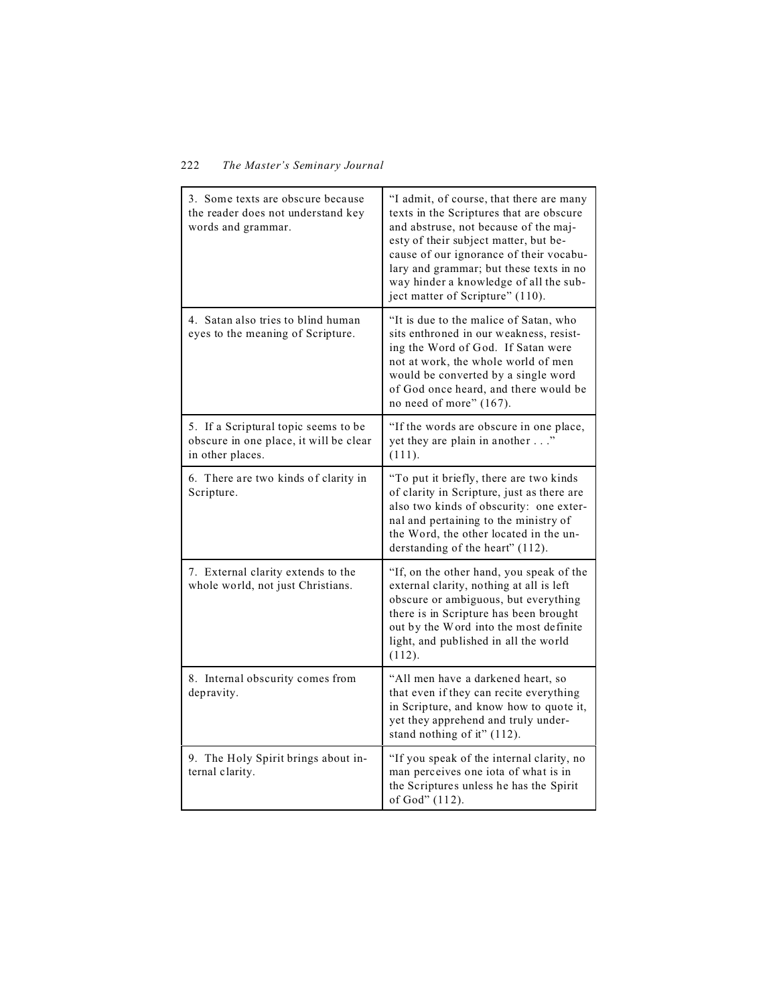| 3. Some texts are obscure because<br>the reader does not understand key<br>words and grammar.      | "I admit, of course, that there are many<br>texts in the Scriptures that are obscure<br>and abstruse, not because of the maj-<br>esty of their subject matter, but be-<br>cause of our ignorance of their vocabu-<br>lary and grammar; but these texts in no<br>way hinder a knowledge of all the sub-<br>ject matter of Scripture" (110). |
|----------------------------------------------------------------------------------------------------|--------------------------------------------------------------------------------------------------------------------------------------------------------------------------------------------------------------------------------------------------------------------------------------------------------------------------------------------|
| 4. Satan also tries to blind human<br>eyes to the meaning of Scripture.                            | "It is due to the malice of Satan, who<br>sits enthroned in our weakness, resist-<br>ing the Word of God. If Satan were<br>not at work, the whole world of men<br>would be converted by a single word<br>of God once heard, and there would be<br>no need of more" (167).                                                                  |
| 5. If a Scriptural topic seems to be<br>obscure in one place, it will be clear<br>in other places. | "If the words are obscure in one place,<br>yet they are plain in another"<br>(111).                                                                                                                                                                                                                                                        |
| 6. There are two kinds of clarity in<br>Scripture.                                                 | "To put it briefly, there are two kinds<br>of clarity in Scripture, just as there are<br>also two kinds of obscurity: one exter-<br>nal and pertaining to the ministry of<br>the Word, the other located in the un-<br>derstanding of the heart" (112).                                                                                    |
| 7. External clarity extends to the<br>whole world, not just Christians.                            | "If, on the other hand, you speak of the<br>external clarity, nothing at all is left<br>obscure or ambiguous, but everything<br>there is in Scripture has been brought<br>out by the Word into the most definite<br>light, and published in all the world<br>(112).                                                                        |
| 8. Internal obscurity comes from<br>depravity.                                                     | "All men have a darkened heart, so<br>that even if they can recite everything<br>in Scripture, and know how to quote it,<br>yet they apprehend and truly under-<br>stand nothing of it" (112).                                                                                                                                             |
| 9. The Holy Spirit brings about in-<br>ternal clarity.                                             | "If you speak of the internal clarity, no<br>man perceives one iota of what is in<br>the Scriptures unless he has the Spirit<br>of God" (112).                                                                                                                                                                                             |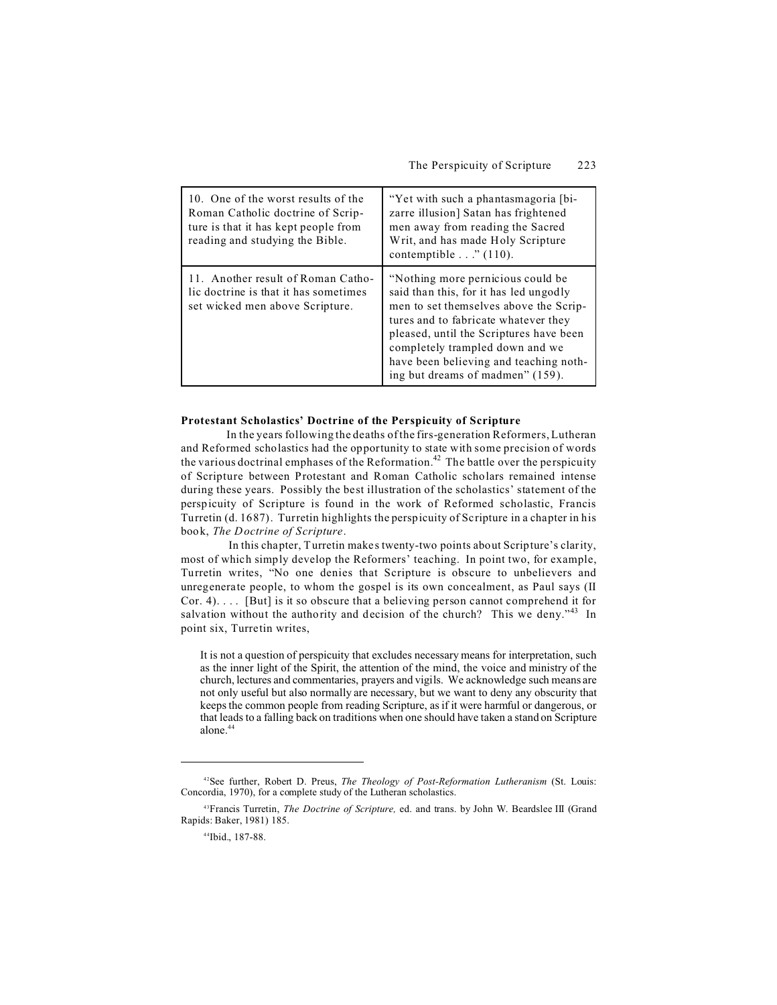| 10. One of the worst results of the<br>Roman Catholic doctrine of Scrip-<br>ture is that it has kept people from<br>reading and studying the Bible. | "Yet with such a phantasmagoria [bi-<br>zarre illusion] Satan has frightened<br>men away from reading the Sacred<br>Writ, and has made Holy Scripture<br>contemptible" (110).                                                                                                                                               |
|-----------------------------------------------------------------------------------------------------------------------------------------------------|-----------------------------------------------------------------------------------------------------------------------------------------------------------------------------------------------------------------------------------------------------------------------------------------------------------------------------|
| 11. Another result of Roman Catho-<br>lic doctrine is that it has sometimes<br>set wicked men above Scripture.                                      | "Nothing more pernicious could be."<br>said than this, for it has led ungodly<br>men to set themselves above the Scrip-<br>tures and to fabricate whatever they<br>pleased, until the Scriptures have been<br>completely trampled down and we<br>have been believing and teaching noth-<br>ing but dreams of madmen" (159). |

#### **Protestant Scholastics' Doctrine of the Perspicuity of Scripture**

In the years following the deaths of the firs-generation Reformers, Lutheran and Reformed scholastics had the opportunity to state with some precision of words the various doctrinal emphases of the Reformation.<sup>42</sup> The battle over the perspicuity of Scripture between Protestant and Roman Catholic scholars remained intense during these years. Possibly the best illustration of the scholastics' statement of the perspicuity of Scripture is found in the work of Reformed scholastic, Francis Turretin (d. 1687). Turretin highlights the perspicuity of Scripture in a chapter in his book, *The Doctrine of Scripture*.

 In this chapter, Turretin makes twenty-two points about Scripture's clarity, most of which simply develop the Reformers' teaching. In point two, for example, Turretin writes, "No one denies that Scripture is obscure to unbelievers and unregenerate people, to whom the gospel is its own concealment, as Paul says (II Cor. 4). . . . [But] is it so obscure that a believing person cannot comprehend it for salvation without the authority and decision of the church? This we deny."<sup>43</sup> In point six, Turretin writes,

It is not a question of perspicuity that excludes necessary means for interpretation, such as the inner light of the Spirit, the attention of the mind, the voice and ministry of the church, lectures and commentaries, prayers and vigils. We acknowledge such means are not only useful but also normally are necessary, but we want to deny any obscurity that keeps the common people from reading Scripture, as if it were harmful or dangerous, or that leads to a falling back on traditions when one should have taken a stand on Scripture alone.44

<sup>42</sup>See further, Robert D. Preus, *The Theology of Post-Reformation Lutheranism* (St. Louis: Concordia, 1970), for a complete study of the Lutheran scholastics.

<sup>43</sup>Francis Turretin, *The Doctrine of Scripture,* ed. and trans. by John W. Beardslee III (Grand Rapids: Baker, 1981) 185.

<sup>44</sup>Ibid., 187-88.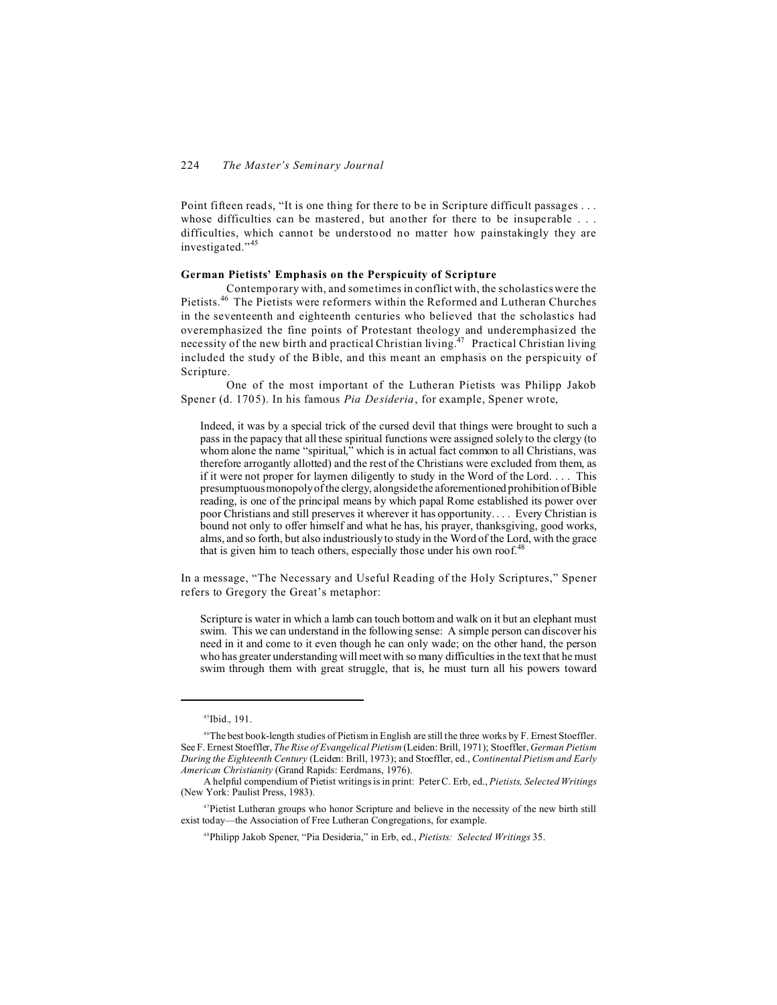Point fifteen reads, "It is one thing for there to be in Scripture difficult passages . . . whose difficulties can be mastered, but another for there to be insuperable . . . difficulties, which cannot be understood no matter how painstakingly they are investigated."<sup>45</sup>

### **German Pietists' Emphasis on the Perspicuity of Scripture**

Contemporary with, and sometimes in conflict with, the scholastics were the Pietists.<sup>46</sup> The Pietists were reformers within the Reformed and Lutheran Churches in the seventeenth and eighteenth centuries who believed that the scholastics had overemphasized the fine points of Protestant theology and underemphasized the necessity of the new birth and practical Christian living.<sup>47</sup> Practical Christian living included the study of the Bible, and this meant an emphasis on the perspicuity of Scripture.

One of the most important of the Lutheran Pietists was Philipp Jakob Spener (d. 1705). In his famous *Pia Desideria*, for example, Spener wrote,

Indeed, it was by a special trick of the cursed devil that things were brought to such a pass in the papacy that all these spiritual functions were assigned solely to the clergy (to whom alone the name "spiritual," which is in actual fact common to all Christians, was therefore arrogantly allotted) and the rest of the Christians were excluded from them, as if it were not proper for laymen diligently to study in the Word of the Lord. . . . This presumptuous monopoly of the clergy, alongside the aforementioned prohibition of Bible reading, is one of the principal means by which papal Rome established its power over poor Christians and still preserves it wherever it has opportunity. . . . Every Christian is bound not only to offer himself and what he has, his prayer, thanksgiving, good works, alms, and so forth, but also industriously to study in the Word of the Lord, with the grace that is given him to teach others, especially those under his own roof.<sup>48</sup>

In a message, "The Necessary and Useful Reading of the Holy Scriptures," Spener refers to Gregory the Great's metaphor:

Scripture is water in which a lamb can touch bottom and walk on it but an elephant must swim. This we can understand in the following sense: A simple person can discover his need in it and come to it even though he can only wade; on the other hand, the person who has greater understanding will meet with so many difficulties in the text that he must swim through them with great struggle, that is, he must turn all his powers toward

<sup>45</sup>Ibid., 191.

<sup>46</sup>The best book-length studies of Pietism in English are still the three works by F. Ernest Stoeffler. See F. Ernest Stoeffler, *The Rise of Evangelical Pietism* (Leiden: Brill, 1971); Stoeffler, *German Pietism During the Eighteenth Century* (Leiden: Brill, 1973); and Stoeffler, ed., *Continental Pietism and Early American Christianity* (Grand Rapids: Eerdmans, 1976).

A helpful compendium of Pietist writings is in print: Peter C. Erb, ed., *Pietists, Selected Writings* (New York: Paulist Press, 1983).

<sup>47</sup>Pietist Lutheran groups who honor Scripture and believe in the necessity of the new birth still exist today—the Association of Free Lutheran Congregations, for example.

<sup>48</sup>Philipp Jakob Spener, "Pia Desideria," in Erb, ed., *Pietists: Selected Writings* 35.